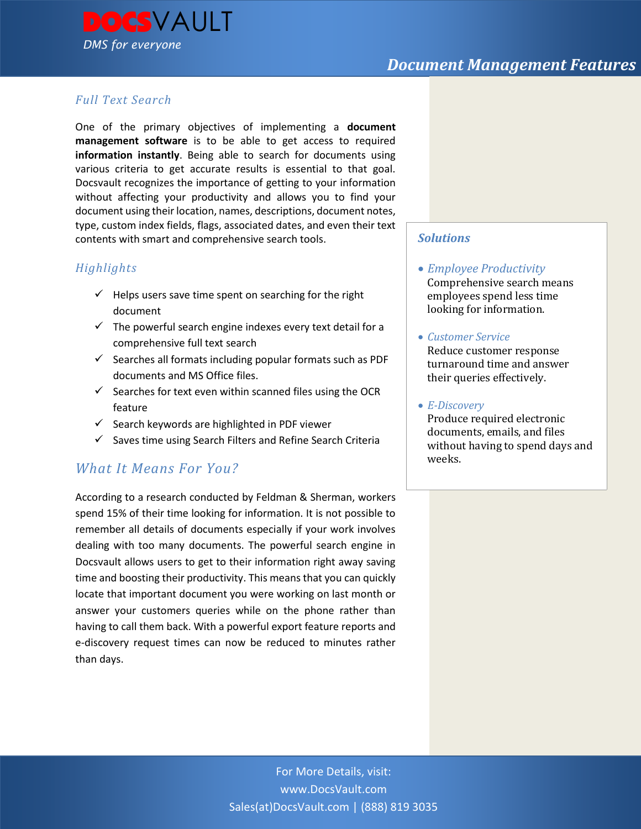

### *Full Text Search*

One of the primary objectives of implementing a **document management software** is to be able to get access to required **information instantly**. Being able to search for documents using various criteria to get accurate results is essential to that goal. Docsvault recognizes the importance of getting to your information without affecting your productivity and allows you to find your document using their location, names, descriptions, document notes, type, custom index fields, flags, associated dates, and even their text contents with smart and comprehensive search tools.

### *Highlights*

- $\checkmark$  Helps users save time spent on searching for the right document
- $\checkmark$  The powerful search engine indexes every text detail for a comprehensive full text search
- $\checkmark$  Searches all formats including popular formats such as PDF documents and MS Office files.
- $\checkmark$  Searches for text even within scanned files using the OCR feature
- $\checkmark$  Search keywords are highlighted in PDF viewer
- $\checkmark$  Saves time using Search Filters and Refine Search Criteria

## *What It Means For You?*

According to a research conducted by Feldman & Sherman, workers spend 15% of their time looking for information. It is not possible to remember all details of documents especially if your work involves dealing with too many documents. The powerful search engine in Docsvault allows users to get to their information right away saving time and boosting their productivity. This means that you can quickly locate that important document you were working on last month or answer your customers queries while on the phone rather than having to call them back. With a powerful export feature reports and e-discovery request times can now be reduced to minutes rather than days.

### *Solutions*

- *Employee Productivity* Comprehensive search means employees spend less time looking for information.
- *Customer Service* Reduce customer response turnaround time and answer their queries effectively.
- *E-Discovery*

Produce required electronic documents, emails, and files without having to spend days and weeks.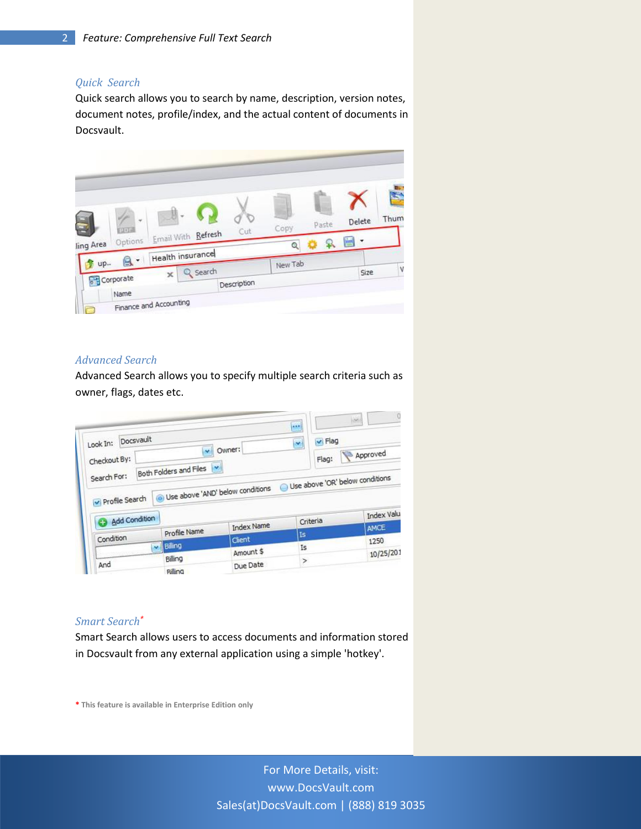#### *Quick Search*

Quick search allows you to search by name, description, version notes, document notes, profile/index, and the actual content of documents in Docsvault.



#### *Advanced Search*

Advanced Search allows you to specify multiple search criteria such as owner, flags, dates etc.

|                                                                                                                              |                                    |                                               | 4.8.9                           | $\langle \omega \rangle$ |
|------------------------------------------------------------------------------------------------------------------------------|------------------------------------|-----------------------------------------------|---------------------------------|--------------------------|
| Docsvault<br>Look In:                                                                                                        | v                                  | $\vee$ Flag<br>$\ddot{\phantom{1}}$<br>Owner: |                                 |                          |
| Checkout By:                                                                                                                 | $\mathbf{v}$                       |                                               | Flag:                           | Approved                 |
| Search For:                                                                                                                  | Both Folders and Files             |                                               | Use above 'OR' below conditions |                          |
| Profile Search                                                                                                               | · Use above 'AND' below conditions |                                               |                                 |                          |
| <b>Add Condition</b>                                                                                                         |                                    |                                               |                                 | Index Valu               |
|                                                                                                                              |                                    | <b>Index Name</b>                             | Criteria                        | <b>AMCE</b>              |
| Condition                                                                                                                    | Profile Name                       | Chent                                         | <b>Is</b>                       | 1250                     |
|                                                                                                                              | vil Billing                        | Amount \$                                     | Is                              |                          |
| <b>Association of the continue of the continue of the continue of the continue of the continue of the continue of</b><br>And | Billing                            | Due Date                                      | <sup>&gt;</sup>                 | 10/25/201                |
|                                                                                                                              | <b>Rilling</b>                     |                                               |                                 |                          |

#### *Smart Search\**

Smart Search allows users to access documents and information stored in Docsvault from any external application using a simple 'hotkey'.

**\* This feature is available in Enterprise Edition only**

For More Details, visit: www.DocsVault.com Sales(at)DocsVault.com | (888) 819 3035